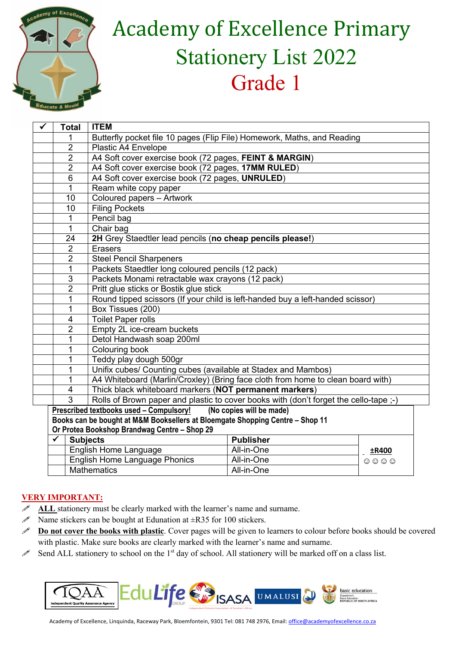

## **Academy of Excellence Primary** Stationery List 2022 Grade 1

| $\checkmark$ | <b>Total</b>                                                                                                                                                                                         | <b>ITEM</b>                                                                     |  |  |  |
|--------------|------------------------------------------------------------------------------------------------------------------------------------------------------------------------------------------------------|---------------------------------------------------------------------------------|--|--|--|
|              |                                                                                                                                                                                                      | Butterfly pocket file 10 pages (Flip File) Homework, Maths, and Reading         |  |  |  |
|              | $\overline{2}$                                                                                                                                                                                       | Plastic A4 Envelope                                                             |  |  |  |
|              | $\overline{2}$                                                                                                                                                                                       | A4 Soft cover exercise book (72 pages, FEINT & MARGIN)                          |  |  |  |
|              | $\overline{2}$                                                                                                                                                                                       | A4 Soft cover exercise book (72 pages, 17MM RULED)                              |  |  |  |
|              | 6                                                                                                                                                                                                    | A4 Soft cover exercise book (72 pages, UNRULED)                                 |  |  |  |
|              | 1                                                                                                                                                                                                    | Ream white copy paper                                                           |  |  |  |
|              | 10                                                                                                                                                                                                   | Coloured papers - Artwork                                                       |  |  |  |
|              | 10                                                                                                                                                                                                   | <b>Filing Pockets</b>                                                           |  |  |  |
|              | 1                                                                                                                                                                                                    | Pencil bag                                                                      |  |  |  |
|              | $\mathbf{1}$                                                                                                                                                                                         | Chair bag                                                                       |  |  |  |
|              | 24                                                                                                                                                                                                   | 2H Grey Staedtler lead pencils (no cheap pencils please!)                       |  |  |  |
|              | $\overline{2}$                                                                                                                                                                                       | <b>Erasers</b>                                                                  |  |  |  |
|              | $\overline{2}$                                                                                                                                                                                       | <b>Steel Pencil Sharpeners</b>                                                  |  |  |  |
|              | 1                                                                                                                                                                                                    | Packets Staedtler long coloured pencils (12 pack)                               |  |  |  |
|              | 3                                                                                                                                                                                                    | Packets Monami retractable wax crayons (12 pack)                                |  |  |  |
|              | $\overline{2}$                                                                                                                                                                                       | Pritt glue sticks or Bostik glue stick                                          |  |  |  |
|              | 1                                                                                                                                                                                                    | Round tipped scissors (If your child is left-handed buy a left-handed scissor)  |  |  |  |
|              | 1                                                                                                                                                                                                    | Box Tissues (200)                                                               |  |  |  |
|              | 4                                                                                                                                                                                                    | <b>Toilet Paper rolls</b>                                                       |  |  |  |
|              | $\overline{2}$                                                                                                                                                                                       | Empty 2L ice-cream buckets                                                      |  |  |  |
|              | 1                                                                                                                                                                                                    | Detol Handwash soap 200ml                                                       |  |  |  |
|              | 1                                                                                                                                                                                                    | Colouring book                                                                  |  |  |  |
|              | 1                                                                                                                                                                                                    | Teddy play dough 500gr                                                          |  |  |  |
|              | 1                                                                                                                                                                                                    | Unifix cubes/ Counting cubes (available at Stadex and Mambos)                   |  |  |  |
|              | 1                                                                                                                                                                                                    | A4 Whiteboard (Marlin/Croxley) (Bring face cloth from home to clean board with) |  |  |  |
|              | 4                                                                                                                                                                                                    | Thick black whiteboard markers (NOT permanent markers)                          |  |  |  |
|              | 3<br>Rolls of Brown paper and plastic to cover books with (don't forget the cello-tape ;-)                                                                                                           |                                                                                 |  |  |  |
|              | (No copies will be made)<br>Prescribed textbooks used - Compulsory!<br>Books can be bought at M&M Booksellers at Bloemgate Shopping Centre - Shop 11<br>Or Protea Bookshop Brandwag Centre - Shop 29 |                                                                                 |  |  |  |
|              |                                                                                                                                                                                                      |                                                                                 |  |  |  |
|              |                                                                                                                                                                                                      |                                                                                 |  |  |  |
|              | $\checkmark$                                                                                                                                                                                         | <b>Subjects</b><br><b>Publisher</b>                                             |  |  |  |
|              |                                                                                                                                                                                                      | Florentials, 1990 and 1991<br>$\sim$ $\sim$ $\sim$                              |  |  |  |

| <b>Subjects</b>                      | <b>Publisher</b> |       |
|--------------------------------------|------------------|-------|
| English Home Language                | All-in-One       | ±R400 |
| <b>English Home Language Phonics</b> | All-in-One       | 0000  |
| Mathematics                          | All-in-One       |       |

## **VERY IMPORTANT:**

- ALL stationery must be clearly marked with the learner's name and surname.
- $\mathscr N$  Name stickers can be bought at Edunation at  $\pm$ R35 for 100 stickers.
- **Do not cover the books with plastic**. Cover pages will be given to learners to colour before books should be covered with plastic. Make sure books are clearly marked with the learner's name and surname.
- Send ALL stationery to school on the 1<sup>st</sup> day of school. All stationery will be marked off on a class list.